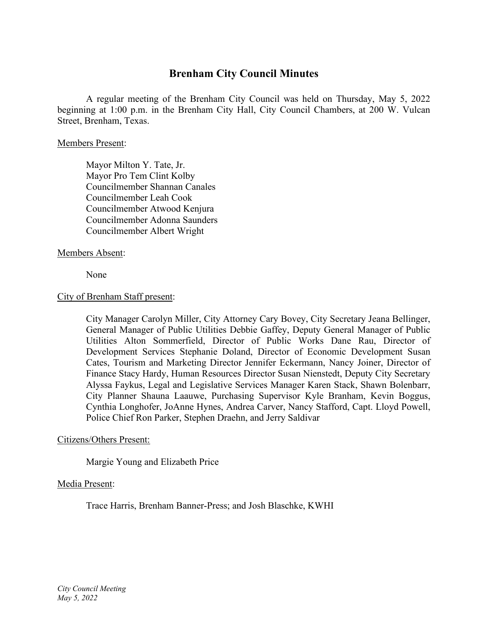# **Brenham City Council Minutes**

A regular meeting of the Brenham City Council was held on Thursday, May 5, 2022 beginning at 1:00 p.m. in the Brenham City Hall, City Council Chambers, at 200 W. Vulcan Street, Brenham, Texas.

#### Members Present:

Mayor Milton Y. Tate, Jr. Mayor Pro Tem Clint Kolby Councilmember Shannan Canales Councilmember Leah Cook Councilmember Atwood Kenjura Councilmember Adonna Saunders Councilmember Albert Wright

# Members Absent:

None

# City of Brenham Staff present:

City Manager Carolyn Miller, City Attorney Cary Bovey, City Secretary Jeana Bellinger, General Manager of Public Utilities Debbie Gaffey, Deputy General Manager of Public Utilities Alton Sommerfield, Director of Public Works Dane Rau, Director of Development Services Stephanie Doland, Director of Economic Development Susan Cates, Tourism and Marketing Director Jennifer Eckermann, Nancy Joiner, Director of Finance Stacy Hardy, Human Resources Director Susan Nienstedt, Deputy City Secretary Alyssa Faykus, Legal and Legislative Services Manager Karen Stack, Shawn Bolenbarr, City Planner Shauna Laauwe, Purchasing Supervisor Kyle Branham, Kevin Boggus, Cynthia Longhofer, JoAnne Hynes, Andrea Carver, Nancy Stafford, Capt. Lloyd Powell, Police Chief Ron Parker, Stephen Draehn, and Jerry Saldivar

#### Citizens/Others Present:

Margie Young and Elizabeth Price

#### Media Present:

Trace Harris, Brenham Banner-Press; and Josh Blaschke, KWHI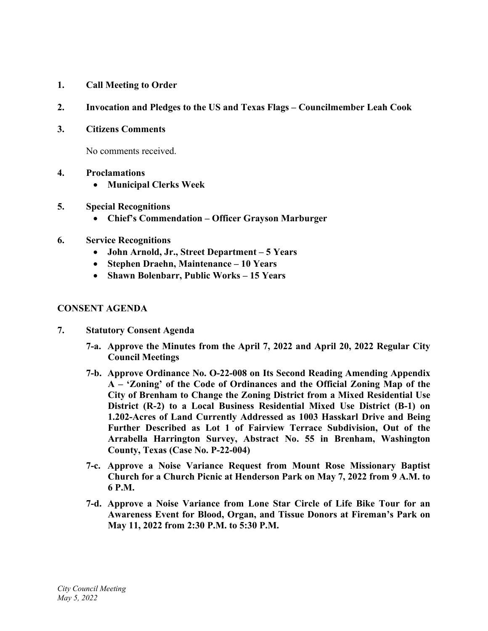- **1. Call Meeting to Order**
- **2. Invocation and Pledges to the US and Texas Flags – Councilmember Leah Cook**
- **3. Citizens Comments**

No comments received.

- **4. Proclamations**
	- **Municipal Clerks Week**
- **5. Special Recognitions**
	- **Chief's Commendation – Officer Grayson Marburger**
- **6. Service Recognitions**
	- **John Arnold, Jr., Street Department – 5 Years**
	- **Stephen Draehn, Maintenance – 10 Years**
	- **Shawn Bolenbarr, Public Works – 15 Years**

#### **CONSENT AGENDA**

- **7. Statutory Consent Agenda**
	- **7-a. Approve the Minutes from the April 7, 2022 and April 20, 2022 Regular City Council Meetings**
	- **7-b. Approve Ordinance No. O-22-008 on Its Second Reading Amending Appendix A – 'Zoning' of the Code of Ordinances and the Official Zoning Map of the City of Brenham to Change the Zoning District from a Mixed Residential Use District (R-2) to a Local Business Residential Mixed Use District (B-1) on 1.202-Acres of Land Currently Addressed as 1003 Hasskarl Drive and Being Further Described as Lot 1 of Fairview Terrace Subdivision, Out of the Arrabella Harrington Survey, Abstract No. 55 in Brenham, Washington County, Texas (Case No. P-22-004)**
	- **7-c. Approve a Noise Variance Request from Mount Rose Missionary Baptist Church for a Church Picnic at Henderson Park on May 7, 2022 from 9 A.M. to 6 P.M.**
	- **7-d. Approve a Noise Variance from Lone Star Circle of Life Bike Tour for an Awareness Event for Blood, Organ, and Tissue Donors at Fireman's Park on May 11, 2022 from 2:30 P.M. to 5:30 P.M.**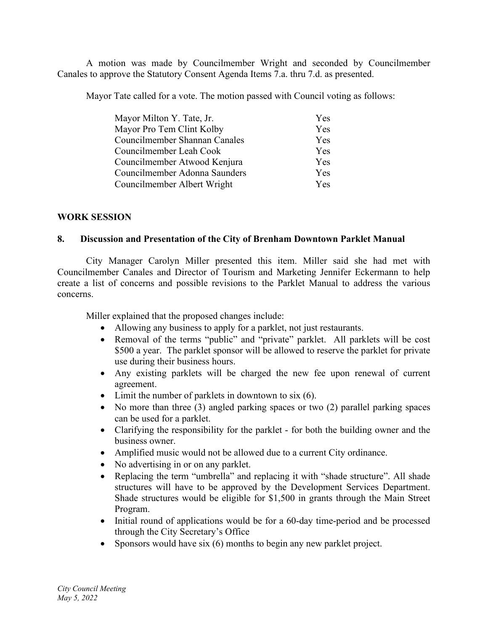A motion was made by Councilmember Wright and seconded by Councilmember Canales to approve the Statutory Consent Agenda Items 7.a. thru 7.d. as presented.

Mayor Tate called for a vote. The motion passed with Council voting as follows:

| Mayor Milton Y. Tate, Jr.     | Yes |
|-------------------------------|-----|
| Mayor Pro Tem Clint Kolby     | Yes |
| Councilmember Shannan Canales | Yes |
| Councilmember Leah Cook       | Yes |
| Councilmember Atwood Kenjura  | Yes |
| Councilmember Adonna Saunders | Yes |
| Councilmember Albert Wright   | Yes |

# **WORK SESSION**

# **8. Discussion and Presentation of the City of Brenham Downtown Parklet Manual**

City Manager Carolyn Miller presented this item. Miller said she had met with Councilmember Canales and Director of Tourism and Marketing Jennifer Eckermann to help create a list of concerns and possible revisions to the Parklet Manual to address the various concerns.

Miller explained that the proposed changes include:

- Allowing any business to apply for a parklet, not just restaurants.
- Removal of the terms "public" and "private" parklet. All parklets will be cost \$500 a year. The parklet sponsor will be allowed to reserve the parklet for private use during their business hours.
- Any existing parklets will be charged the new fee upon renewal of current agreement.
- Limit the number of parklets in downtown to six (6).
- No more than three (3) angled parking spaces or two (2) parallel parking spaces can be used for a parklet.
- Clarifying the responsibility for the parklet for both the building owner and the business owner.
- Amplified music would not be allowed due to a current City ordinance.
- No advertising in or on any parklet.
- Replacing the term "umbrella" and replacing it with "shade structure". All shade structures will have to be approved by the Development Services Department. Shade structures would be eligible for \$1,500 in grants through the Main Street Program.
- Initial round of applications would be for a 60-day time-period and be processed through the City Secretary's Office
- Sponsors would have six (6) months to begin any new parklet project.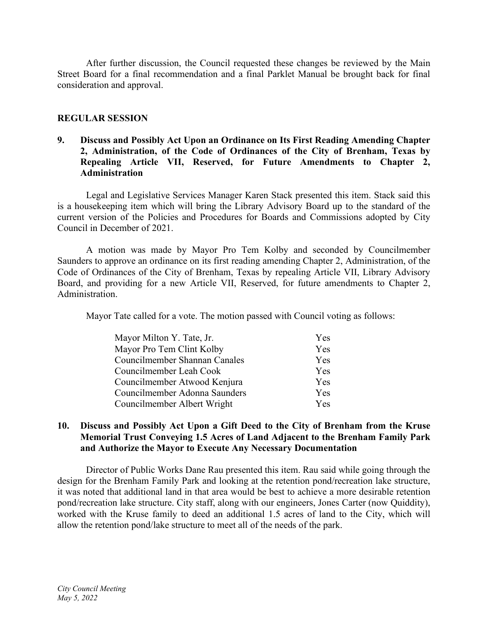After further discussion, the Council requested these changes be reviewed by the Main Street Board for a final recommendation and a final Parklet Manual be brought back for final consideration and approval.

# **REGULAR SESSION**

# **9. Discuss and Possibly Act Upon an Ordinance on Its First Reading Amending Chapter 2, Administration, of the Code of Ordinances of the City of Brenham, Texas by Repealing Article VII, Reserved, for Future Amendments to Chapter 2, Administration**

Legal and Legislative Services Manager Karen Stack presented this item. Stack said this is a housekeeping item which will bring the Library Advisory Board up to the standard of the current version of the Policies and Procedures for Boards and Commissions adopted by City Council in December of 2021.

A motion was made by Mayor Pro Tem Kolby and seconded by Councilmember Saunders to approve an ordinance on its first reading amending Chapter 2, Administration, of the Code of Ordinances of the City of Brenham, Texas by repealing Article VII, Library Advisory Board, and providing for a new Article VII, Reserved, for future amendments to Chapter 2, Administration.

Mayor Tate called for a vote. The motion passed with Council voting as follows:

| Mayor Milton Y. Tate, Jr.     | <b>Yes</b> |
|-------------------------------|------------|
| Mayor Pro Tem Clint Kolby     | Yes        |
| Councilmember Shannan Canales | Yes        |
| Councilmember Leah Cook       | <b>Yes</b> |
| Councilmember Atwood Kenjura  | <b>Yes</b> |
| Councilmember Adonna Saunders | <b>Yes</b> |
| Councilmember Albert Wright   | <b>Yes</b> |

# **10. Discuss and Possibly Act Upon a Gift Deed to the City of Brenham from the Kruse Memorial Trust Conveying 1.5 Acres of Land Adjacent to the Brenham Family Park and Authorize the Mayor to Execute Any Necessary Documentation**

Director of Public Works Dane Rau presented this item. Rau said while going through the design for the Brenham Family Park and looking at the retention pond/recreation lake structure, it was noted that additional land in that area would be best to achieve a more desirable retention pond/recreation lake structure. City staff, along with our engineers, Jones Carter (now Quiddity), worked with the Kruse family to deed an additional 1.5 acres of land to the City, which will allow the retention pond/lake structure to meet all of the needs of the park.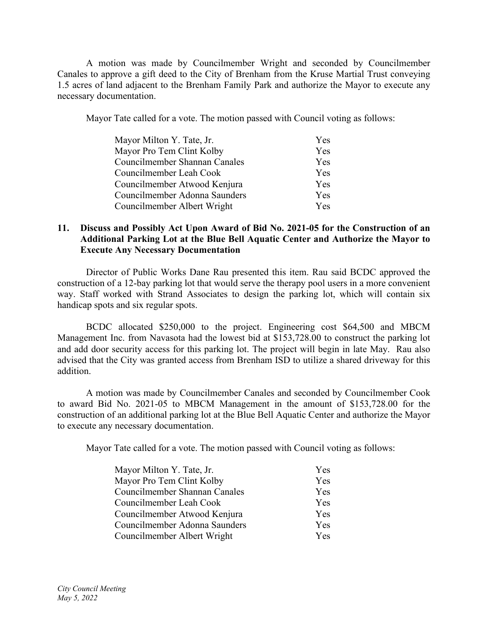A motion was made by Councilmember Wright and seconded by Councilmember Canales to approve a gift deed to the City of Brenham from the Kruse Martial Trust conveying 1.5 acres of land adjacent to the Brenham Family Park and authorize the Mayor to execute any necessary documentation.

Mayor Tate called for a vote. The motion passed with Council voting as follows:

| Mayor Milton Y. Tate, Jr.     | Yes |
|-------------------------------|-----|
| Mayor Pro Tem Clint Kolby     | Yes |
| Councilmember Shannan Canales | Yes |
| Councilmember Leah Cook       | Yes |
| Councilmember Atwood Kenjura  | Yes |
| Councilmember Adonna Saunders | Yes |
| Councilmember Albert Wright   | Yes |

# **11. Discuss and Possibly Act Upon Award of Bid No. 2021-05 for the Construction of an Additional Parking Lot at the Blue Bell Aquatic Center and Authorize the Mayor to Execute Any Necessary Documentation**

Director of Public Works Dane Rau presented this item. Rau said BCDC approved the construction of a 12-bay parking lot that would serve the therapy pool users in a more convenient way. Staff worked with Strand Associates to design the parking lot, which will contain six handicap spots and six regular spots.

BCDC allocated \$250,000 to the project. Engineering cost \$64,500 and MBCM Management Inc. from Navasota had the lowest bid at \$153,728.00 to construct the parking lot and add door security access for this parking lot. The project will begin in late May. Rau also advised that the City was granted access from Brenham ISD to utilize a shared driveway for this addition.

A motion was made by Councilmember Canales and seconded by Councilmember Cook to award Bid No. 2021-05 to MBCM Management in the amount of \$153,728.00 for the construction of an additional parking lot at the Blue Bell Aquatic Center and authorize the Mayor to execute any necessary documentation.

Mayor Tate called for a vote. The motion passed with Council voting as follows:

| Mayor Milton Y. Tate, Jr.     | Yes |
|-------------------------------|-----|
| Mayor Pro Tem Clint Kolby     | Yes |
| Councilmember Shannan Canales | Yes |
| Councilmember Leah Cook       | Yes |
| Councilmember Atwood Kenjura  | Yes |
| Councilmember Adonna Saunders | Yes |
| Councilmember Albert Wright   | Yes |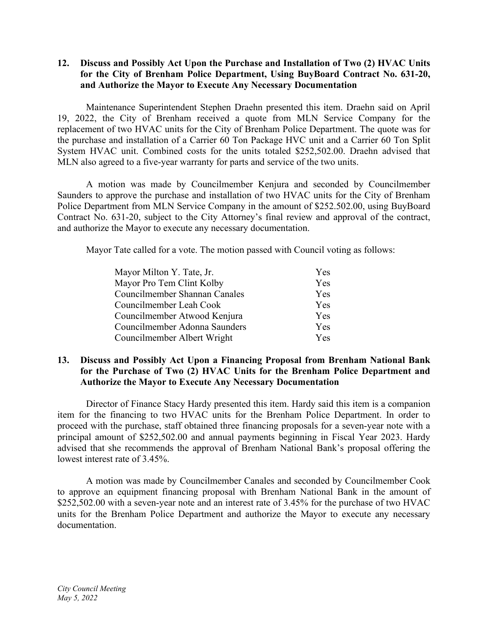# **12. Discuss and Possibly Act Upon the Purchase and Installation of Two (2) HVAC Units for the City of Brenham Police Department, Using BuyBoard Contract No. 631-20, and Authorize the Mayor to Execute Any Necessary Documentation**

Maintenance Superintendent Stephen Draehn presented this item. Draehn said on April 19, 2022, the City of Brenham received a quote from MLN Service Company for the replacement of two HVAC units for the City of Brenham Police Department. The quote was for the purchase and installation of a Carrier 60 Ton Package HVC unit and a Carrier 60 Ton Split System HVAC unit. Combined costs for the units totaled \$252,502.00. Draehn advised that MLN also agreed to a five-year warranty for parts and service of the two units.

A motion was made by Councilmember Kenjura and seconded by Councilmember Saunders to approve the purchase and installation of two HVAC units for the City of Brenham Police Department from MLN Service Company in the amount of \$252.502.00, using BuyBoard Contract No. 631-20, subject to the City Attorney's final review and approval of the contract, and authorize the Mayor to execute any necessary documentation.

Mayor Tate called for a vote. The motion passed with Council voting as follows:

| Mayor Milton Y. Tate, Jr.     | Yes |
|-------------------------------|-----|
| Mayor Pro Tem Clint Kolby     | Yes |
| Councilmember Shannan Canales | Yes |
| Councilmember Leah Cook       | Yes |
| Councilmember Atwood Kenjura  | Yes |
| Councilmember Adonna Saunders | Yes |
| Councilmember Albert Wright   | Yes |

#### **13. Discuss and Possibly Act Upon a Financing Proposal from Brenham National Bank for the Purchase of Two (2) HVAC Units for the Brenham Police Department and Authorize the Mayor to Execute Any Necessary Documentation**

Director of Finance Stacy Hardy presented this item. Hardy said this item is a companion item for the financing to two HVAC units for the Brenham Police Department. In order to proceed with the purchase, staff obtained three financing proposals for a seven-year note with a principal amount of \$252,502.00 and annual payments beginning in Fiscal Year 2023. Hardy advised that she recommends the approval of Brenham National Bank's proposal offering the lowest interest rate of 3.45%.

A motion was made by Councilmember Canales and seconded by Councilmember Cook to approve an equipment financing proposal with Brenham National Bank in the amount of \$252,502.00 with a seven-year note and an interest rate of 3.45% for the purchase of two HVAC units for the Brenham Police Department and authorize the Mayor to execute any necessary documentation.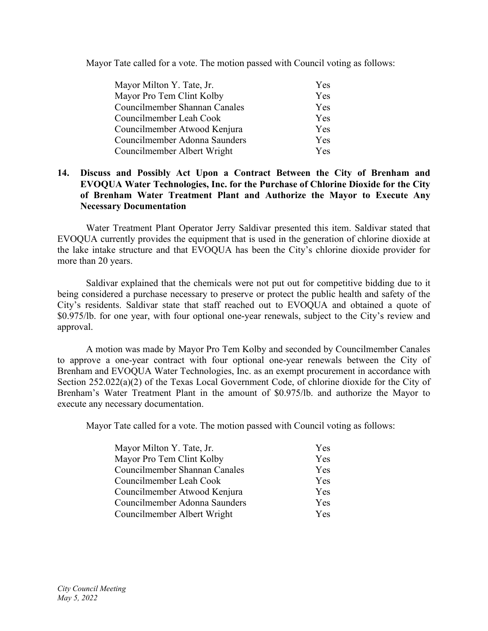Mayor Tate called for a vote. The motion passed with Council voting as follows:

| Mayor Milton Y. Tate, Jr.     | Yes        |
|-------------------------------|------------|
| Mayor Pro Tem Clint Kolby     | Yes        |
| Councilmember Shannan Canales | Yes        |
| Councilmember Leah Cook       | <b>Yes</b> |
| Councilmember Atwood Kenjura  | Yes        |
| Councilmember Adonna Saunders | Yes        |
| Councilmember Albert Wright   | <b>Yes</b> |

# **14. Discuss and Possibly Act Upon a Contract Between the City of Brenham and EVOQUA Water Technologies, Inc. for the Purchase of Chlorine Dioxide for the City of Brenham Water Treatment Plant and Authorize the Mayor to Execute Any Necessary Documentation**

Water Treatment Plant Operator Jerry Saldivar presented this item. Saldivar stated that EVOQUA currently provides the equipment that is used in the generation of chlorine dioxide at the lake intake structure and that EVOQUA has been the City's chlorine dioxide provider for more than 20 years.

Saldivar explained that the chemicals were not put out for competitive bidding due to it being considered a purchase necessary to preserve or protect the public health and safety of the City's residents. Saldivar state that staff reached out to EVOQUA and obtained a quote of \$0.975/lb. for one year, with four optional one-year renewals, subject to the City's review and approval.

A motion was made by Mayor Pro Tem Kolby and seconded by Councilmember Canales to approve a one-year contract with four optional one-year renewals between the City of Brenham and EVOQUA Water Technologies, Inc. as an exempt procurement in accordance with Section 252.022(a)(2) of the Texas Local Government Code, of chlorine dioxide for the City of Brenham's Water Treatment Plant in the amount of \$0.975/lb. and authorize the Mayor to execute any necessary documentation.

Mayor Tate called for a vote. The motion passed with Council voting as follows:

| Mayor Milton Y. Tate, Jr.     | Yes |
|-------------------------------|-----|
| Mayor Pro Tem Clint Kolby     | Yes |
| Councilmember Shannan Canales | Yes |
| Councilmember Leah Cook       | Yes |
| Councilmember Atwood Kenjura  | Yes |
| Councilmember Adonna Saunders | Yes |
| Councilmember Albert Wright   | Yes |